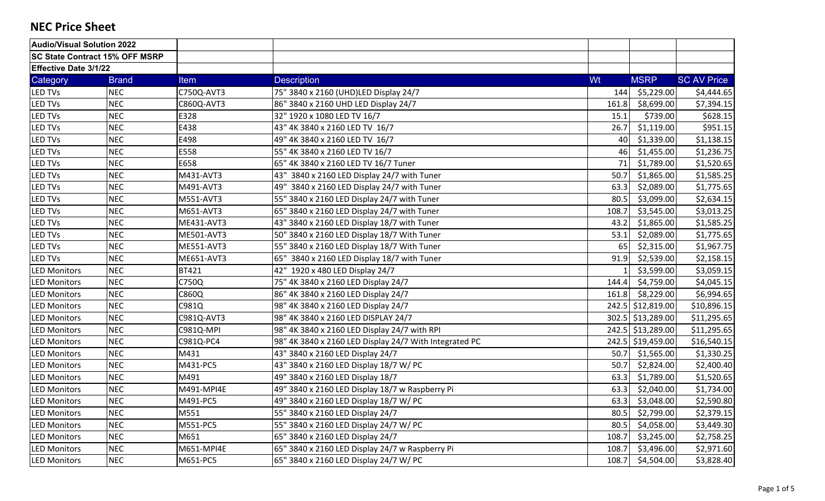| Audio/Visual Solution 2022            |              |              |                                                        |       |                   |                    |
|---------------------------------------|--------------|--------------|--------------------------------------------------------|-------|-------------------|--------------------|
| <b>SC State Contract 15% OFF MSRP</b> |              |              |                                                        |       |                   |                    |
| <b>Effective Date 3/1/22</b>          |              |              |                                                        |       |                   |                    |
| Category                              | <b>Brand</b> | <b>Item</b>  | <b>Description</b>                                     | Wt    | <b>MSRP</b>       | <b>SC AV Price</b> |
| <b>LED TVs</b>                        | <b>NEC</b>   | C750Q-AVT3   | 75" 3840 x 2160 (UHD)LED Display 24/7                  | 144   | \$5,229.00        | \$4,444.65         |
| <b>LED TVs</b>                        | <b>NEC</b>   | C860Q-AVT3   | 86" 3840 x 2160 UHD LED Display 24/7                   | 161.8 | \$8,699.00        | \$7,394.15         |
| <b>LED TVs</b>                        | <b>NEC</b>   | E328         | 32" 1920 x 1080 LED TV 16/7                            | 15.1  | \$739.00          | \$628.15           |
| <b>LED TVs</b>                        | <b>NEC</b>   | E438         | 43" 4K 3840 x 2160 LED TV 16/7                         | 26.7  | \$1,119.00        | \$951.15           |
| <b>LED TVs</b>                        | <b>NEC</b>   | E498         | 49" 4K 3840 x 2160 LED TV 16/7                         | 40    | \$1,339.00        | \$1,138.15         |
| <b>LED TVs</b>                        | <b>NEC</b>   | E558         | 55" 4K 3840 x 2160 LED TV 16/7                         | 46    | \$1,455.00        | \$1,236.75         |
| <b>LED TVs</b>                        | <b>NEC</b>   | E658         | 65" 4K 3840 x 2160 LED TV 16/7 Tuner                   | 71    | \$1,789.00        | \$1,520.65         |
| <b>LED TVs</b>                        | <b>NEC</b>   | M431-AVT3    | 43" 3840 x 2160 LED Display 24/7 with Tuner            | 50.7  | \$1,865.00        | \$1,585.25         |
| <b>LED TVs</b>                        | <b>NEC</b>   | M491-AVT3    | 49" 3840 x 2160 LED Display 24/7 with Tuner            | 63.3  | \$2,089.00        | \$1,775.65         |
| <b>LED TVs</b>                        | <b>NEC</b>   | M551-AVT3    | 55" 3840 x 2160 LED Display 24/7 with Tuner            | 80.5  | \$3,099.00        | \$2,634.15         |
| <b>LED TVs</b>                        | <b>NEC</b>   | M651-AVT3    | 65" 3840 x 2160 LED Display 24/7 with Tuner            | 108.7 | \$3,545.00        | \$3,013.25         |
| <b>LED TVs</b>                        | <b>NEC</b>   | ME431-AVT3   | 43" 3840 x 2160 LED Display 18/7 with Tuner            | 43.2  | \$1,865.00        | \$1,585.25         |
| <b>LED TVs</b>                        | <b>NEC</b>   | ME501-AVT3   | 50" 3840 x 2160 LED Display 18/7 With Tuner            | 53.1  | \$2,089.00        | \$1,775.65         |
| <b>LED TVs</b>                        | <b>NEC</b>   | ME551-AVT3   | 55" 3840 x 2160 LED Display 18/7 With Tuner            | 65    | \$2,315.00        | \$1,967.75         |
| <b>LED TVs</b>                        | <b>NEC</b>   | ME651-AVT3   | 65" 3840 x 2160 LED Display 18/7 with Tuner            | 91.9  | \$2,539.00        | \$2,158.15         |
| <b>LED Monitors</b>                   | <b>NEC</b>   | <b>BT421</b> | 42" 1920 x 480 LED Display 24/7                        |       | \$3,599.00        | \$3,059.15         |
| <b>LED Monitors</b>                   | <b>NEC</b>   | C750Q        | 75" 4K 3840 x 2160 LED Display 24/7                    | 144.4 | \$4,759.00        | \$4,045.15         |
| <b>LED Monitors</b>                   | <b>NEC</b>   | C860Q        | 86" 4K 3840 x 2160 LED Display 24/7                    | 161.8 | \$8,229.00        | \$6,994.65         |
| <b>LED Monitors</b>                   | <b>NEC</b>   | C981Q        | 98" 4K 3840 x 2160 LED Display 24/7                    |       | 242.5 \$12,819.00 | \$10,896.15        |
| <b>LED Monitors</b>                   | <b>NEC</b>   | C981Q-AVT3   | 98" 4K 3840 x 2160 LED DISPLAY 24/7                    |       | 302.5 \$13,289.00 | \$11,295.65        |
| <b>LED Monitors</b>                   | <b>NEC</b>   | C981Q-MPI    | 98" 4K 3840 x 2160 LED Display 24/7 with RPI           |       | 242.5 \$13,289.00 | \$11,295.65        |
| <b>LED Monitors</b>                   | <b>NEC</b>   | C981Q-PC4    | 98" 4K 3840 x 2160 LED Display 24/7 With Integrated PC |       | 242.5 \$19,459.00 | \$16,540.15        |
| <b>LED Monitors</b>                   | <b>NEC</b>   | M431         | 43" 3840 x 2160 LED Display 24/7                       | 50.7  | \$1,565.00        | \$1,330.25         |
| <b>LED Monitors</b>                   | <b>NEC</b>   | M431-PC5     | 43" 3840 x 2160 LED Display 18/7 W/ PC                 | 50.7  | \$2,824.00        | \$2,400.40         |
| <b>LED Monitors</b>                   | <b>NEC</b>   | M491         | 49" 3840 x 2160 LED Display 18/7                       | 63.3  | \$1,789.00        | \$1,520.65         |
| <b>LED Monitors</b>                   | <b>NEC</b>   | M491-MPI4E   | 49" 3840 x 2160 LED Display 18/7 w Raspberry Pi        | 63.3  | \$2,040.00        | \$1,734.00         |
| <b>LED Monitors</b>                   | <b>NEC</b>   | M491-PC5     | 49" 3840 x 2160 LED Display 18/7 W/ PC                 | 63.3  | \$3,048.00        | \$2,590.80         |
| <b>LED Monitors</b>                   | <b>NEC</b>   | M551         | 55" 3840 x 2160 LED Display 24/7                       | 80.5  | \$2,799.00        | \$2,379.15         |
| <b>LED Monitors</b>                   | <b>NEC</b>   | M551-PC5     | 55" 3840 x 2160 LED Display 24/7 W/ PC                 | 80.5  | \$4,058.00        | \$3,449.30         |
| <b>LED Monitors</b>                   | <b>NEC</b>   | M651         | 65" 3840 x 2160 LED Display 24/7                       | 108.7 | \$3,245.00        | \$2,758.25         |
| <b>LED Monitors</b>                   | <b>NEC</b>   | M651-MPI4E   | 65" 3840 x 2160 LED Display 24/7 w Raspberry Pi        | 108.7 | \$3,496.00        | \$2,971.60         |
| <b>LED Monitors</b>                   | <b>NEC</b>   | M651-PC5     | 65" 3840 x 2160 LED Display 24/7 W/ PC                 | 108.7 | \$4,504.00        | \$3,828.40         |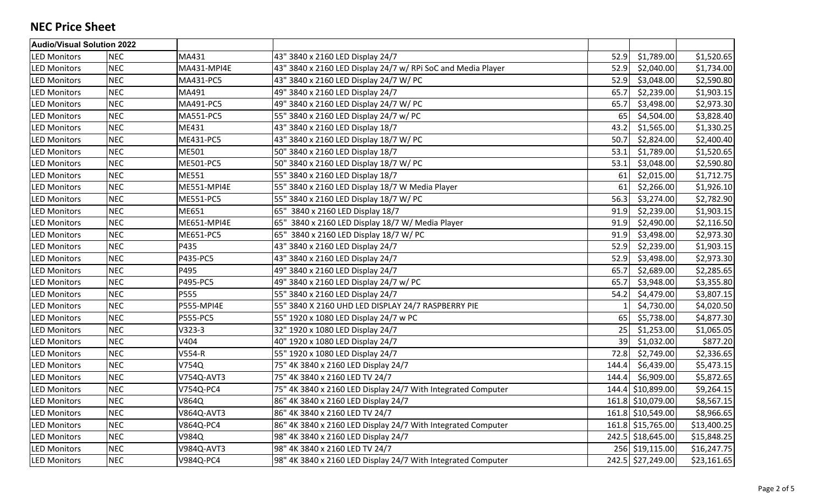| Audio/Visual Solution 2022 |            |                   |                                                              |       |                   |             |
|----------------------------|------------|-------------------|--------------------------------------------------------------|-------|-------------------|-------------|
| <b>LED Monitors</b>        | <b>NEC</b> | MA431             | 43" 3840 x 2160 LED Display 24/7                             | 52.9  | \$1,789.00        | \$1,520.65  |
| <b>LED Monitors</b>        | <b>NEC</b> | MA431-MPI4E       | 43" 3840 x 2160 LED Display 24/7 w/ RPi SoC and Media Player | 52.9  | \$2,040.00        | \$1,734.00  |
| <b>LED Monitors</b>        | <b>NEC</b> | MA431-PC5         | 43" 3840 x 2160 LED Display 24/7 W/ PC                       | 52.9  | \$3,048.00        | \$2,590.80  |
| <b>LED Monitors</b>        | <b>NEC</b> | MA491             | 49" 3840 x 2160 LED Display 24/7                             | 65.7  | \$2,239.00        | \$1,903.15  |
| <b>LED Monitors</b>        | <b>NEC</b> | MA491-PC5         | 49" 3840 x 2160 LED Display 24/7 W/ PC                       | 65.7  | \$3,498.00        | \$2,973.30  |
| <b>LED Monitors</b>        | <b>NEC</b> | MA551-PC5         | 55" 3840 x 2160 LED Display 24/7 w/ PC                       | 65    | \$4,504.00        | \$3,828.40  |
| <b>LED Monitors</b>        | <b>NEC</b> | ME431             | 43" 3840 x 2160 LED Display 18/7                             | 43.2  | \$1,565.00        | \$1,330.25  |
| <b>LED Monitors</b>        | <b>NEC</b> | ME431-PC5         | 43" 3840 x 2160 LED Display 18/7 W/ PC                       | 50.7  | \$2,824.00        | \$2,400.40  |
| <b>LED Monitors</b>        | <b>NEC</b> | ME501             | 50" 3840 x 2160 LED Display 18/7                             | 53.1  | \$1,789.00        | \$1,520.65  |
| <b>LED Monitors</b>        | <b>NEC</b> | ME501-PC5         | 50" 3840 x 2160 LED Display 18/7 W/ PC                       | 53.1  | \$3,048.00        | \$2,590.80  |
| <b>LED Monitors</b>        | <b>NEC</b> | ME551             | 55" 3840 x 2160 LED Display 18/7                             | 61    | \$2,015.00        | \$1,712.75  |
| <b>LED Monitors</b>        | <b>NEC</b> | ME551-MPI4E       | 55" 3840 x 2160 LED Display 18/7 W Media Player              | 61    | \$2,266.00        | \$1,926.10  |
| <b>LED Monitors</b>        | <b>NEC</b> | <b>ME551-PC5</b>  | 55" 3840 x 2160 LED Display 18/7 W/ PC                       | 56.3  | \$3,274.00        | \$2,782.90  |
| <b>LED Monitors</b>        | <b>NEC</b> | ME651             | 65" 3840 x 2160 LED Display 18/7                             | 91.9  | \$2,239.00        | \$1,903.15  |
| <b>LED Monitors</b>        | <b>NEC</b> | ME651-MPI4E       | 65" 3840 x 2160 LED Display 18/7 W/ Media Player             | 91.9  | \$2,490.00        | \$2,116.50  |
| <b>LED Monitors</b>        | <b>NEC</b> | ME651-PC5         | 65" 3840 x 2160 LED Display 18/7 W/ PC                       | 91.9  | \$3,498.00        | \$2,973.30  |
| <b>LED Monitors</b>        | <b>NEC</b> | P435              | 43" 3840 x 2160 LED Display 24/7                             | 52.9  | \$2,239.00        | \$1,903.15  |
| <b>LED Monitors</b>        | <b>NEC</b> | P435-PC5          | 43" 3840 x 2160 LED Display 24/7                             | 52.9  | \$3,498.00        | \$2,973.30  |
| <b>LED Monitors</b>        | <b>NEC</b> | P495              | 49" 3840 x 2160 LED Display 24/7                             | 65.7  | \$2,689.00        | \$2,285.65  |
| <b>LED Monitors</b>        | <b>NEC</b> | P495-PC5          | 49" 3840 x 2160 LED Display 24/7 w/ PC                       | 65.7  | \$3,948.00        | \$3,355.80  |
| <b>LED Monitors</b>        | <b>NEC</b> | P555              | 55" 3840 x 2160 LED Display 24/7                             | 54.2  | \$4,479.00        | \$3,807.15  |
| <b>LED Monitors</b>        | <b>NEC</b> | <b>P555-MPI4E</b> | 55" 3840 X 2160 UHD LED DISPLAY 24/7 RASPBERRY PIE           |       | \$4,730.00        | \$4,020.50  |
| <b>LED Monitors</b>        | <b>NEC</b> | <b>P555-PC5</b>   | 55" 1920 x 1080 LED Display 24/7 w PC                        | 65    | \$5,738.00        | \$4,877.30  |
| <b>LED Monitors</b>        | <b>NEC</b> | $V323-3$          | 32" 1920 x 1080 LED Display 24/7                             | 25    | \$1,253.00        | \$1,065.05  |
| <b>LED Monitors</b>        | <b>NEC</b> | V404              | 40" 1920 x 1080 LED Display 24/7                             | 39    | \$1,032.00        | \$877.20    |
| <b>LED Monitors</b>        | <b>NEC</b> | V554-R            | 55" 1920 x 1080 LED Display 24/7                             | 72.8  | \$2,749.00        | \$2,336.65  |
| <b>LED Monitors</b>        | <b>NEC</b> | V754Q             | 75" 4K 3840 x 2160 LED Display 24/7                          | 144.4 | \$6,439.00        | \$5,473.15  |
| <b>LED Monitors</b>        | <b>NEC</b> | V754Q-AVT3        | 75" 4K 3840 x 2160 LED TV 24/7                               | 144.4 | \$6,909.00        | \$5,872.65  |
| <b>LED Monitors</b>        | <b>NEC</b> | V754Q-PC4         | 75" 4K 3840 x 2160 LED Display 24/7 With Integrated Computer |       | 144.4 \$10,899.00 | \$9,264.15  |
| <b>LED Monitors</b>        | <b>NEC</b> | <b>V864Q</b>      | 86" 4K 3840 x 2160 LED Display 24/7                          |       | 161.8 \$10,079.00 | \$8,567.15  |
| <b>LED Monitors</b>        | <b>NEC</b> | V864Q-AVT3        | 86" 4K 3840 x 2160 LED TV 24/7                               |       | 161.8 \$10,549.00 | \$8,966.65  |
| <b>LED Monitors</b>        | <b>NEC</b> | V864Q-PC4         | 86" 4K 3840 x 2160 LED Display 24/7 With Integrated Computer |       | 161.8 \$15,765.00 | \$13,400.25 |
| <b>LED Monitors</b>        | <b>NEC</b> | V984Q             | 98" 4K 3840 x 2160 LED Display 24/7                          |       | 242.5 \$18,645.00 | \$15,848.25 |
| <b>LED Monitors</b>        | <b>NEC</b> | V984Q-AVT3        | 98" 4K 3840 x 2160 LED TV 24/7                               |       | 256 \$19,115.00   | \$16,247.75 |
| <b>LED Monitors</b>        | <b>NEC</b> | V984Q-PC4         | 98" 4K 3840 x 2160 LED Display 24/7 With Integrated Computer |       | 242.5 \$27,249.00 | \$23,161.65 |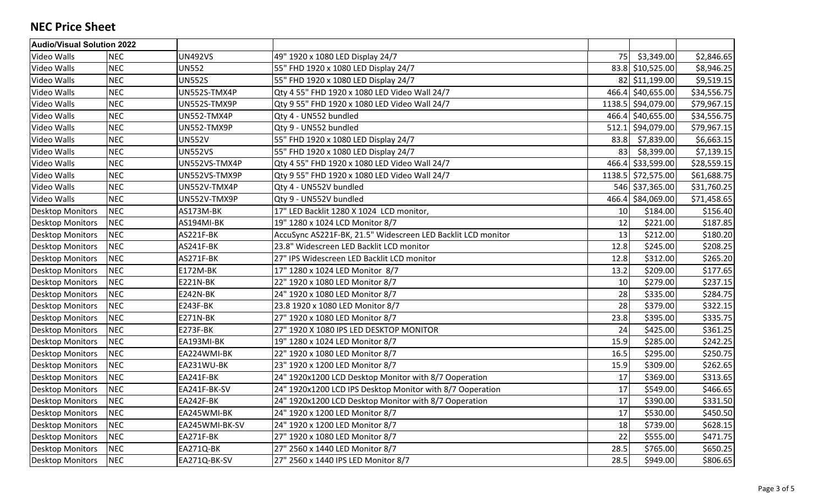| <b>Audio/Visual Solution 2022</b> |            |                 |                                                              |       |                    |             |
|-----------------------------------|------------|-----------------|--------------------------------------------------------------|-------|--------------------|-------------|
| Video Walls                       | <b>NEC</b> | <b>UN492VS</b>  | 49" 1920 x 1080 LED Display 24/7                             | 75    | \$3,349.00         | \$2,846.65  |
| Video Walls                       | <b>NEC</b> | <b>UN552</b>    | 55" FHD 1920 x 1080 LED Display 24/7                         |       | 83.8 \$10,525.00   | \$8,946.25  |
| Video Walls                       | <b>NEC</b> | <b>UN552S</b>   | 55" FHD 1920 x 1080 LED Display 24/7                         |       | 82 \$11,199.00     | \$9,519.15  |
| Video Walls                       | <b>NEC</b> | UN552S-TMX4P    | Qty 4 55" FHD 1920 x 1080 LED Video Wall 24/7                |       | 466.4 \$40,655.00  | \$34,556.75 |
| Video Walls                       | <b>NEC</b> | UN552S-TMX9P    | Qty 9 55" FHD 1920 x 1080 LED Video Wall 24/7                |       | 1138.5 \$94,079.00 | \$79,967.15 |
| Video Walls                       | <b>NEC</b> | UN552-TMX4P     | Qty 4 - UN552 bundled                                        |       | 466.4 \$40,655.00  | \$34,556.75 |
| Video Walls                       | <b>NEC</b> | UN552-TMX9P     | Qty 9 - UN552 bundled                                        | 512.1 | \$94,079.00        | \$79,967.15 |
| Video Walls                       | <b>NEC</b> | <b>UN552V</b>   | 55" FHD 1920 x 1080 LED Display 24/7                         | 83.8  | \$7,839.00         | \$6,663.15  |
| Video Walls                       | <b>NEC</b> | <b>UN552VS</b>  | 55" FHD 1920 x 1080 LED Display 24/7                         | 83    | \$8,399.00         | \$7,139.15  |
| Video Walls                       | <b>NEC</b> | UN552VS-TMX4P   | Qty 4 55" FHD 1920 x 1080 LED Video Wall 24/7                |       | 466.4 \$33,599.00  | \$28,559.15 |
| Video Walls                       | <b>NEC</b> | UN552VS-TMX9P   | Qty 9 55" FHD 1920 x 1080 LED Video Wall 24/7                |       | 1138.5 \$72,575.00 | \$61,688.75 |
| Video Walls                       | <b>NEC</b> | UN552V-TMX4P    | Qty 4 - UN552V bundled                                       |       | 546 \$37,365.00    | \$31,760.25 |
| Video Walls                       | <b>NEC</b> | UN552V-TMX9P    | Qty 9 - UN552V bundled                                       |       | 466.4 \$84,069.00  | \$71,458.65 |
| <b>Desktop Monitors</b>           | <b>NEC</b> | AS173M-BK       | 17" LED Backlit 1280 X 1024 LCD monitor,                     | 10    | \$184.00           | \$156.40    |
| <b>Desktop Monitors</b>           | <b>NEC</b> | AS194MI-BK      | 19" 1280 x 1024 LCD Monitor 8/7                              | 12    | \$221.00           | \$187.85    |
| <b>Desktop Monitors</b>           | <b>NEC</b> | AS221F-BK       | AccuSync AS221F-BK, 21.5" Widescreen LED Backlit LCD monitor | 13    | \$212.00           | \$180.20    |
| <b>Desktop Monitors</b>           | <b>NEC</b> | AS241F-BK       | 23.8" Widescreen LED Backlit LCD monitor                     | 12.8  | \$245.00           | \$208.25    |
| <b>Desktop Monitors</b>           | <b>NEC</b> | AS271F-BK       | 27" IPS Widescreen LED Backlit LCD monitor                   | 12.8  | \$312.00           | \$265.20    |
| <b>Desktop Monitors</b>           | <b>NEC</b> | <b>E172M-BK</b> | 17" 1280 x 1024 LED Monitor 8/7                              | 13.2  | \$209.00           | \$177.65    |
| <b>Desktop Monitors</b>           | <b>NEC</b> | <b>E221N-BK</b> | 22" 1920 x 1080 LED Monitor 8/7                              | 10    | \$279.00           | \$237.15    |
| <b>Desktop Monitors</b>           | <b>NEC</b> | <b>E242N-BK</b> | 24" 1920 x 1080 LED Monitor 8/7                              | 28    | \$335.00           | \$284.75    |
| <b>Desktop Monitors</b>           | <b>NEC</b> | <b>E243F-BK</b> | 23.8 1920 x 1080 LED Monitor 8/7                             | 28    | \$379.00           | \$322.15    |
| <b>Desktop Monitors</b>           | <b>NEC</b> | <b>E271N-BK</b> | 27" 1920 x 1080 LED Monitor 8/7                              | 23.8  | \$395.00           | \$335.75    |
| <b>Desktop Monitors</b>           | <b>NEC</b> | E273F-BK        | 27" 1920 X 1080 IPS LED DESKTOP MONITOR                      | 24    | \$425.00           | \$361.25    |
| <b>Desktop Monitors</b>           | <b>NEC</b> | EA193MI-BK      | 19" 1280 x 1024 LED Monitor 8/7                              | 15.9  | \$285.00           | \$242.25    |
| <b>Desktop Monitors</b>           | <b>NEC</b> | EA224WMI-BK     | 22" 1920 x 1080 LED Monitor 8/7                              | 16.5  | \$295.00           | \$250.75    |
| <b>Desktop Monitors</b>           | <b>NEC</b> | EA231WU-BK      | 23" 1920 x 1200 LED Monitor 8/7                              | 15.9  | \$309.00           | \$262.65    |
| <b>Desktop Monitors</b>           | <b>NEC</b> | EA241F-BK       | 24" 1920x1200 LCD Desktop Monitor with 8/7 Ooperation        | 17    | \$369.00           | \$313.65    |
| <b>Desktop Monitors</b>           | <b>NEC</b> | EA241F-BK-SV    | 24" 1920x1200 LCD IPS Desktop Monitor with 8/7 Ooperation    | 17    | \$549.00           | \$466.65    |
| <b>Desktop Monitors</b>           | <b>NEC</b> | EA242F-BK       | 24" 1920x1200 LCD Desktop Monitor with 8/7 Ooperation        | 17    | \$390.00           | \$331.50    |
| <b>Desktop Monitors</b>           | <b>NEC</b> | EA245WMI-BK     | 24" 1920 x 1200 LED Monitor 8/7                              | 17    | \$530.00           | \$450.50    |
| <b>Desktop Monitors</b>           | <b>NEC</b> | EA245WMI-BK-SV  | 24" 1920 x 1200 LED Monitor 8/7                              | 18    | \$739.00           | \$628.15    |
| <b>Desktop Monitors</b>           | <b>NEC</b> | EA271F-BK       | 27" 1920 x 1080 LED Monitor 8/7                              | 22    | \$555.00           | \$471.75    |
| <b>Desktop Monitors</b>           | <b>NEC</b> | EA271Q-BK       | 27" 2560 x 1440 LED Monitor 8/7                              | 28.5  | \$765.00           | \$650.25    |
| <b>Desktop Monitors</b>           | <b>NEC</b> | EA271Q-BK-SV    | 27" 2560 x 1440 IPS LED Monitor 8/7                          | 28.5  | \$949.00           | \$806.65    |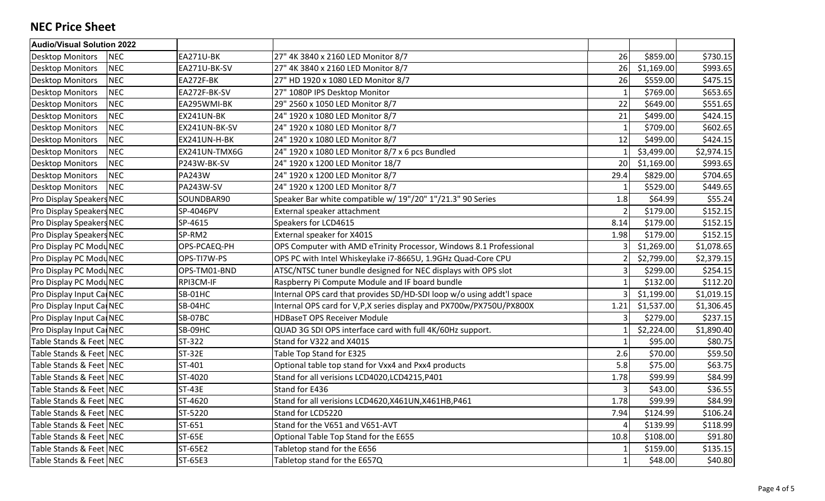| <b>Audio/Visual Solution 2022</b>     |                  |                                                                       |               |            |            |
|---------------------------------------|------------------|-----------------------------------------------------------------------|---------------|------------|------------|
| <b>NEC</b><br><b>Desktop Monitors</b> | EA271U-BK        | 27" 4K 3840 x 2160 LED Monitor 8/7                                    | 26            | \$859.00   | \$730.15   |
| <b>NEC</b><br><b>Desktop Monitors</b> | EA271U-BK-SV     | 27" 4K 3840 x 2160 LED Monitor 8/7                                    | 26            | \$1,169.00 | \$993.65   |
| <b>NEC</b><br><b>Desktop Monitors</b> | EA272F-BK        | 27" HD 1920 x 1080 LED Monitor 8/7                                    | 26            | \$559.00   | \$475.15   |
| <b>NEC</b><br><b>Desktop Monitors</b> | EA272F-BK-SV     | 27" 1080P IPS Desktop Monitor                                         |               | \$769.00   | \$653.65   |
| <b>NEC</b><br><b>Desktop Monitors</b> | EA295WMI-BK      | 29" 2560 x 1050 LED Monitor 8/7                                       | 22            | \$649.00   | \$551.65   |
| <b>NEC</b><br><b>Desktop Monitors</b> | EX241UN-BK       | 24" 1920 x 1080 LED Monitor 8/7                                       | 21            | \$499.00   | \$424.15   |
| <b>NEC</b><br><b>Desktop Monitors</b> | EX241UN-BK-SV    | 24" 1920 x 1080 LED Monitor 8/7                                       | $\mathbf{1}$  | \$709.00   | \$602.65   |
| <b>NEC</b><br><b>Desktop Monitors</b> | EX241UN-H-BK     | 24" 1920 x 1080 LED Monitor 8/7                                       | 12            | \$499.00   | \$424.15   |
| <b>NEC</b><br><b>Desktop Monitors</b> | EX241UN-TMX6G    | 24" 1920 x 1080 LED Monitor 8/7 x 6 pcs Bundled                       |               | \$3,499.00 | \$2,974.15 |
| <b>NEC</b><br><b>Desktop Monitors</b> | P243W-BK-SV      | 24" 1920 x 1200 LED Monitor 18/7                                      | 20            | \$1,169.00 | \$993.65   |
| <b>NEC</b><br><b>Desktop Monitors</b> | <b>PA243W</b>    | 24" 1920 x 1200 LED Monitor 8/7                                       | 29.4          | \$829.00   | \$704.65   |
| <b>NEC</b><br><b>Desktop Monitors</b> | <b>PA243W-SV</b> | 24" 1920 x 1200 LED Monitor 8/7                                       | $\mathbf 1$   | \$529.00   | \$449.65   |
| Pro Display Speakers NEC              | SOUNDBAR90       | Speaker Bar white compatible w/ 19"/20" 1"/21.3" 90 Series            | 1.8           | \$64.99    | \$55.24    |
| Pro Display Speakers NEC              | SP-4046PV        | External speaker attachment                                           | $\mathcal{P}$ | \$179.00   | \$152.15   |
| Pro Display Speakers NEC              | SP-4615          | Speakers for LCD4615                                                  | 8.14          | \$179.00   | \$152.15   |
| Pro Display Speakers NEC              | SP-RM2           | External speaker for X401S                                            | 1.98          | \$179.00   | \$152.15   |
| Pro Display PC ModuNEC                | OPS-PCAEQ-PH     | OPS Computer with AMD eTrinity Processor, Windows 8.1 Professional    |               | \$1,269.00 | \$1,078.65 |
| Pro Display PC ModuNEC                | OPS-TI7W-PS      | OPS PC with Intel Whiskeylake i7-8665U, 1.9GHz Quad-Core CPU          |               | \$2,799.00 | \$2,379.15 |
| Pro Display PC ModuNEC                | OPS-TM01-BND     | ATSC/NTSC tuner bundle designed for NEC displays with OPS slot        | 3             | \$299.00   | \$254.15   |
| Pro Display PC ModuNEC                | RPI3CM-IF        | Raspberry Pi Compute Module and IF board bundle                       |               | \$132.00   | \$112.20   |
| Pro Display Input CarNEC              | SB-01HC          | Internal OPS card that provides SD/HD-SDI loop w/o using addt'l space |               | \$1,199.00 | \$1,019.15 |
| Pro Display Input Ca NEC              | SB-04HC          | Internal OPS card for V, P, X series display and PX700w/PX750U/PX800X | 1.21          | \$1,537.00 | \$1,306.45 |
| Pro Display Input CarNEC              | SB-07BC          | <b>HDBaseT OPS Receiver Module</b>                                    |               | \$279.00   | \$237.15   |
| Pro Display Input CarNEC              | SB-09HC          | QUAD 3G SDI OPS interface card with full 4K/60Hz support.             |               | \$2,224.00 | \$1,890.40 |
| Table Stands & Feet NEC               | ST-322           | Stand for V322 and X401S                                              |               | \$95.00    | \$80.75    |
| Table Stands & Feet NEC               | <b>ST-32E</b>    | Table Top Stand for E325                                              | 2.6           | \$70.00    | \$59.50    |
| Table Stands & Feet NEC               | ST-401           | Optional table top stand for Vxx4 and Pxx4 products                   | 5.8           | \$75.00    | \$63.75    |
| Table Stands & Feet NEC               | ST-4020          | Stand for all verisions LCD4020, LCD4215, P401                        | 1.78          | \$99.99    | \$84.99    |
| Table Stands & Feet NEC               | <b>ST-43E</b>    | Stand for E436                                                        |               | \$43.00    | \$36.55    |
| Table Stands & Feet NEC               | ST-4620          | Stand for all verisions LCD4620, X461UN, X461HB, P461                 | 1.78          | \$99.99    | \$84.99    |
| Table Stands & Feet NEC               | ST-5220          | Stand for LCD5220                                                     | 7.94          | \$124.99   | \$106.24   |
| Table Stands & Feet NEC               | ST-651           | Stand for the V651 and V651-AVT                                       |               | \$139.99   | \$118.99   |
| Table Stands & Feet NEC               | <b>ST-65E</b>    | Optional Table Top Stand for the E655                                 | 10.8          | \$108.00   | \$91.80    |
| Table Stands & Feet NEC               | ST-65E2          | Tabletop stand for the E656                                           |               | \$159.00   | \$135.15   |
| Table Stands & Feet NEC               | ST-65E3          | Tabletop stand for the E657Q                                          |               | \$48.00    | \$40.80    |